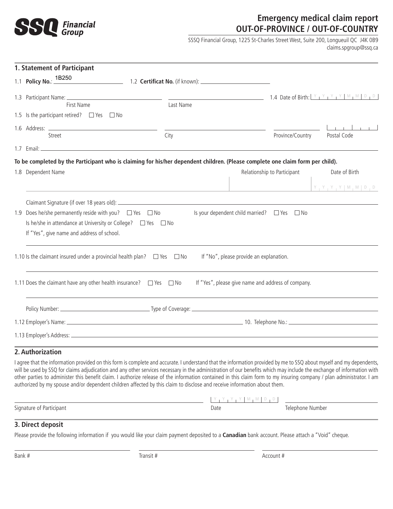

## **Emergency medical claim report OUT-OF-PROVINCE / OUT-OF-COUNTRY**

SSSQ Financial Group, 1225 St-Charles Street West, Suite 200, Longueuil QC J4K 0B9 claims.spgroup@ssq.ca

| 1. Statement of Participant                                                                                                                                           |           |                                                       |                                 |
|-----------------------------------------------------------------------------------------------------------------------------------------------------------------------|-----------|-------------------------------------------------------|---------------------------------|
|                                                                                                                                                                       |           |                                                       |                                 |
| First Name                                                                                                                                                            | Last Name |                                                       |                                 |
| 1.5 Is the participant retired? $\Box$ Yes $\Box$ No                                                                                                                  |           |                                                       |                                 |
| 1.6 Address: _____________________                                                                                                                                    |           |                                                       | $\sim$ 1 $\sim$ 1 $\sim$ 1      |
| Street                                                                                                                                                                | City      | Province/Country                                      | Postal Code                     |
|                                                                                                                                                                       |           |                                                       |                                 |
| To be completed by the Participant who is claiming for his/her dependent children. (Please complete one claim form per child).                                        |           |                                                       |                                 |
| 1.8 Dependent Name                                                                                                                                                    |           | Relationship to Participant                           | Date of Birth                   |
|                                                                                                                                                                       |           |                                                       | $Y + Y + Y + Y$ $M + M$ $D + D$ |
|                                                                                                                                                                       |           |                                                       |                                 |
| 1.9 Does he/she permanently reside with you? $\Box$ Yes $\Box$ No                                                                                                     |           | Is your dependent child married? $\Box$ Yes $\Box$ No |                                 |
| Is he/she in attendance at University or College? □ Yes □ No                                                                                                          |           |                                                       |                                 |
| If "Yes", give name and address of school.                                                                                                                            |           |                                                       |                                 |
|                                                                                                                                                                       |           |                                                       |                                 |
| 1.10 Is the claimant insured under a provincial health plan? $\Box$ Yes $\Box$ No                                                                                     |           | If "No", please provide an explanation.               |                                 |
| 1.11 Does the claimant have any other health insurance? $\Box$ Yes $\Box$ No                                                                                          |           | If "Yes", please give name and address of company.    |                                 |
|                                                                                                                                                                       |           |                                                       |                                 |
|                                                                                                                                                                       |           |                                                       |                                 |
| 1.12 Employer's Name: 1.12 Employer's Name: 1.12 Employer's Name: 10. Telephone No.:                                                                                  |           |                                                       |                                 |
|                                                                                                                                                                       |           |                                                       |                                 |
| 2. Authorization                                                                                                                                                      |           |                                                       |                                 |
| I agree that the information provided on this form is complete and accurate. I understand that the information provided by me to SSQ about myself and my dependents,  |           |                                                       |                                 |
| will be used by SSQ for claims adjudication and any other services necessary in the administration of our benefits which may include the exchange of information with |           |                                                       |                                 |

will be used by SSQ for claims adjudication and any other services necessary in the administration of our benefits which may include the exchange of information with other parties to administer this benefit claim. I authorize release of the information contained in this claim form to my insuring company / plan administrator. I am authorized by my spouse and/or dependent children affected by this claim to disclose and receive information about them.

| Signature<br>` Participant i<br>$\sim$ $\sim$ | Date | -<br>. Number<br>$\bigcap$ |
|-----------------------------------------------|------|----------------------------|

### **3. Direct deposit**

Please provide the following information if you would like your claim payment deposited to a **Canadian** bank account. Please attach a "Void" cheque.